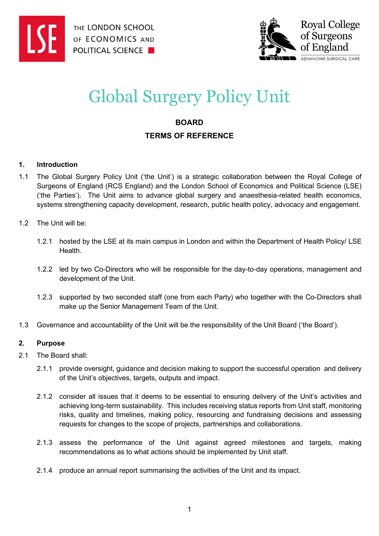



# Global Surgery Policy Unit

# **BOARD TERMS OF REFERENCE**

#### **1. Introduction**

1.1 The Global Surgery Policy Unit ('the Unit') is a strategic collaboration between the Royal College of Surgeons of England (RCS England) and the London School of Economics and Political Science (LSE) ('the Parties'). The Unit aims to advance global surgery and anaesthesia-related health economics, systems strengthening capacity development, research, public health policy, advocacy and engagement.

#### 1.2 The Unit will be:

- 1.2.1 hosted by the LSE at its main campus in London and within the Department of Health Policy/ LSE Health.
- 1.2.2 led by two Co-Directors who will be responsible for the day-to-day operations, management and development of the Unit.
- 1.2.3 supported by two seconded staff (one from each Party) who together with the Co-Directors shall make up the Senior Management Team of the Unit.
- 1.3 Governance and accountability of the Unit will be the responsibility of the Unit Board ('the Board').

## **2. Purpose**

- 2.1 The Board shall:
	- 2.1.1 provide oversight, guidance and decision making to support the successful operation and delivery of the Unit's objectives, targets, outputs and impact.
	- 2.1.2 consider all issues that it deems to be essential to ensuring delivery of the Unit's activities and achieving long-term sustainability. This includes receiving status reports from Unit staff, monitoring risks, quality and timelines, making policy, resourcing and fundraising decisions and assessing requests for changes to the scope of projects, partnerships and collaborations.
	- 2.1.3 assess the performance of the Unit against agreed milestones and targets, making recommendations as to what actions should be implemented by Unit staff.
	- 2.1.4 produce an annual report summarising the activities of the Unit and its impact.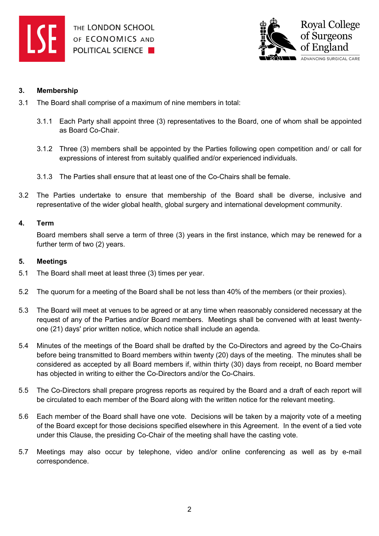



#### **3. Membership**

- 3.1 The Board shall comprise of a maximum of nine members in total:
	- 3.1.1 Each Party shall appoint three (3) representatives to the Board, one of whom shall be appointed as Board Co-Chair.
	- 3.1.2 Three (3) members shall be appointed by the Parties following open competition and/ or call for expressions of interest from suitably qualified and/or experienced individuals.
	- 3.1.3 The Parties shall ensure that at least one of the Co-Chairs shall be female.
- 3.2 The Parties undertake to ensure that membership of the Board shall be diverse, inclusive and representative of the wider global health, global surgery and international development community.

#### **4. Term**

Board members shall serve a term of three (3) years in the first instance, which may be renewed for a further term of two (2) years.

#### **5. Meetings**

- 5.1 The Board shall meet at least three (3) times per year.
- 5.2 The quorum for a meeting of the Board shall be not less than 40% of the members (or their proxies).
- 5.3 The Board will meet at venues to be agreed or at any time when reasonably considered necessary at the request of any of the Parties and/or Board members. Meetings shall be convened with at least twentyone (21) days' prior written notice, which notice shall include an agenda.
- 5.4 Minutes of the meetings of the Board shall be drafted by the Co-Directors and agreed by the Co-Chairs before being transmitted to Board members within twenty (20) days of the meeting. The minutes shall be considered as accepted by all Board members if, within thirty (30) days from receipt, no Board member has objected in writing to either the Co-Directors and/or the Co-Chairs.
- 5.5 The Co-Directors shall prepare progress reports as required by the Board and a draft of each report will be circulated to each member of the Board along with the written notice for the relevant meeting.
- 5.6 Each member of the Board shall have one vote. Decisions will be taken by a majority vote of a meeting of the Board except for those decisions specified elsewhere in this Agreement. In the event of a tied vote under this Clause, the presiding Co-Chair of the meeting shall have the casting vote.
- 5.7 Meetings may also occur by telephone, video and/or online conferencing as well as by e-mail correspondence.